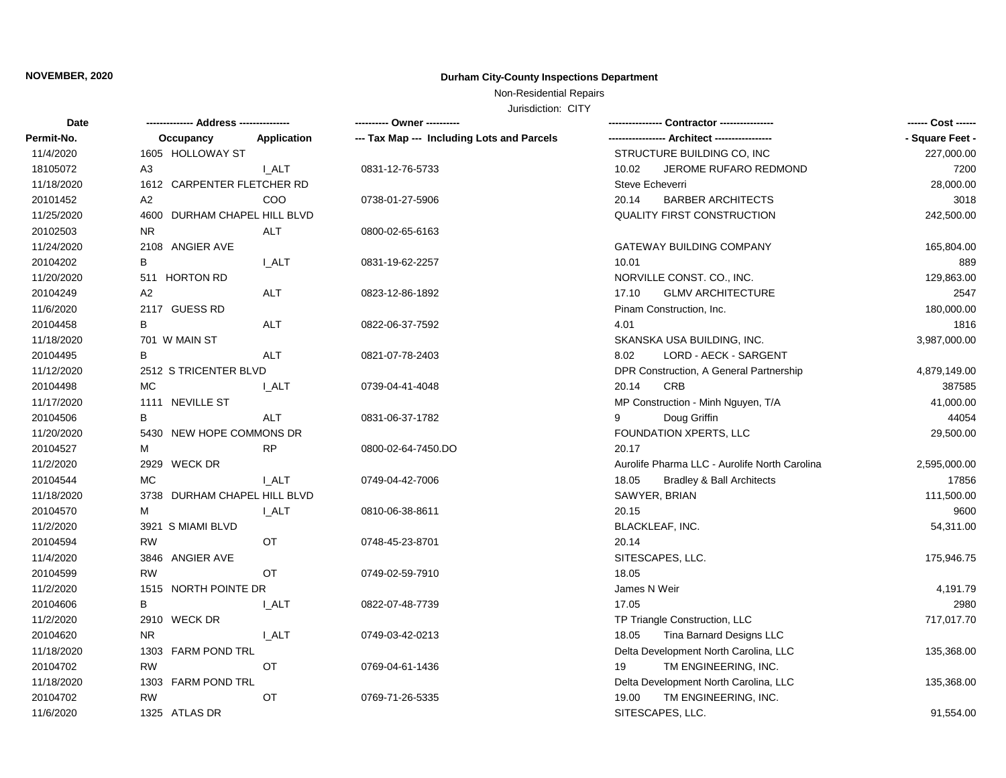# **NOVEMBER, 2020 Durham City-County Inspections Department**

Non-Residential Repairs

Jurisdiction: CITY

| <b>Date</b> |                              |              | ---------- Owner ----------                |                                               | ------ Cost ------ |
|-------------|------------------------------|--------------|--------------------------------------------|-----------------------------------------------|--------------------|
| Permit-No.  | Occupancy                    | Application  | --- Tax Map --- Including Lots and Parcels | --- Architect -----------------               | - Square Feet -    |
| 11/4/2020   | 1605 HOLLOWAY ST             |              |                                            | STRUCTURE BUILDING CO, INC                    | 227,000.00         |
| 18105072    | A3                           | I ALT        | 0831-12-76-5733                            | 10.02<br>JEROME RUFARO REDMOND                | 7200               |
| 11/18/2020  | 1612 CARPENTER FLETCHER RD   |              |                                            | Steve Echeverri                               | 28,000.00          |
| 20101452    | A2                           | COO          | 0738-01-27-5906                            | <b>BARBER ARCHITECTS</b><br>20.14             | 3018               |
| 11/25/2020  | 4600 DURHAM CHAPEL HILL BLVD |              |                                            | QUALITY FIRST CONSTRUCTION                    | 242,500.00         |
| 20102503    | <b>NR</b>                    | ALT          | 0800-02-65-6163                            |                                               |                    |
| 11/24/2020  | 2108 ANGIER AVE              |              |                                            | GATEWAY BUILDING COMPANY                      | 165,804.00         |
| 20104202    | В                            | I ALT        | 0831-19-62-2257                            | 10.01                                         | 889                |
| 11/20/2020  | 511 HORTON RD                |              |                                            | NORVILLE CONST. CO., INC.                     | 129,863.00         |
| 20104249    | A2                           | ALT          | 0823-12-86-1892                            | <b>GLMV ARCHITECTURE</b><br>17.10             | 2547               |
| 11/6/2020   | 2117 GUESS RD                |              |                                            | Pinam Construction, Inc.                      | 180,000.00         |
| 20104458    | В                            | ALT          | 0822-06-37-7592                            | 4.01                                          | 1816               |
| 11/18/2020  | 701 W MAIN ST                |              |                                            | SKANSKA USA BUILDING, INC.                    | 3,987,000.00       |
| 20104495    | B                            | <b>ALT</b>   | 0821-07-78-2403                            | LORD - AECK - SARGENT<br>8.02                 |                    |
| 11/12/2020  | 2512 S TRICENTER BLVD        |              |                                            | DPR Construction, A General Partnership       | 4,879,149.00       |
| 20104498    | MC                           | I ALT        | 0739-04-41-4048                            | CRB<br>20.14                                  | 387585             |
| 11/17/2020  | 1111 NEVILLE ST              |              |                                            | MP Construction - Minh Nguyen, T/A            | 41,000.00          |
| 20104506    | B                            | <b>ALT</b>   | 0831-06-37-1782                            | Doug Griffin<br>9                             | 44054              |
| 11/20/2020  | 5430 NEW HOPE COMMONS DR     |              |                                            | FOUNDATION XPERTS, LLC                        | 29,500.00          |
| 20104527    | М                            | <b>RP</b>    | 0800-02-64-7450.DO                         | 20.17                                         |                    |
| 11/2/2020   | 2929 WECK DR                 |              |                                            | Aurolife Pharma LLC - Aurolife North Carolina | 2,595,000.00       |
| 20104544    | <b>MC</b>                    | <b>I_ALT</b> | 0749-04-42-7006                            | 18.05<br><b>Bradley &amp; Ball Architects</b> | 17856              |
| 11/18/2020  | 3738 DURHAM CHAPEL HILL BLVD |              |                                            | SAWYER, BRIAN                                 | 111,500.00         |
| 20104570    | M                            | I ALT        | 0810-06-38-8611                            | 20.15                                         | 9600               |
| 11/2/2020   | 3921 S MIAMI BLVD            |              |                                            | BLACKLEAF, INC.                               | 54,311.00          |
| 20104594    | <b>RW</b>                    | OT           | 0748-45-23-8701                            | 20.14                                         |                    |
| 11/4/2020   | 3846 ANGIER AVE              |              |                                            | SITESCAPES, LLC.                              | 175,946.75         |
| 20104599    | <b>RW</b>                    | ОT           | 0749-02-59-7910                            | 18.05                                         |                    |
| 11/2/2020   | 1515 NORTH POINTE DR         |              |                                            | James N Weir                                  | 4,191.79           |
| 20104606    | B                            | I ALT        | 0822-07-48-7739                            | 17.05                                         | 2980               |
| 11/2/2020   | 2910 WECK DR                 |              |                                            | TP Triangle Construction, LLC                 | 717,017.70         |
| 20104620    | <b>NR</b>                    | I ALT        | 0749-03-42-0213                            | Tina Barnard Designs LLC<br>18.05             |                    |
| 11/18/2020  | 1303 FARM POND TRL           |              |                                            | Delta Development North Carolina, LLC         | 135,368.00         |
| 20104702    | <b>RW</b>                    | ОT           | 0769-04-61-1436                            | TM ENGINEERING, INC.<br>19                    |                    |
| 11/18/2020  | 1303 FARM POND TRL           |              |                                            | Delta Development North Carolina, LLC         | 135,368.00         |
| 20104702    | <b>RW</b>                    | ОT           | 0769-71-26-5335                            | TM ENGINEERING, INC.<br>19.00                 |                    |
| 11/6/2020   | 1325 ATLAS DR                |              |                                            | SITESCAPES, LLC.                              | 91,554.00          |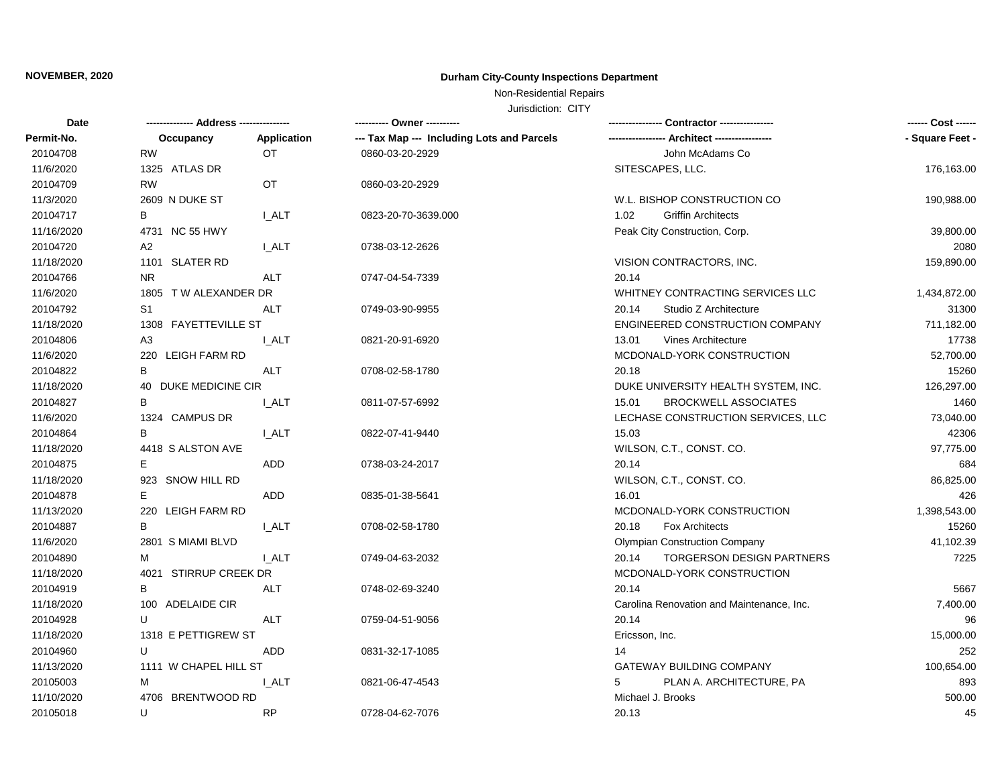# **NOVEMBER, 2020 Durham City-County Inspections Department**

Non-Residential Repairs

Jurisdiction: CITY

| <b>Date</b> |                       |              | --------- Owner ---------                  | Contractor ----------------               | ------ Cost ------ |
|-------------|-----------------------|--------------|--------------------------------------------|-------------------------------------------|--------------------|
| Permit-No.  | Occupancy             | Application  | --- Tax Map --- Including Lots and Parcels | --- Architect -----------------           | - Square Feet -    |
| 20104708    | <b>RW</b>             | OT           | 0860-03-20-2929                            | John McAdams Co                           |                    |
| 11/6/2020   | 1325 ATLAS DR         |              |                                            | SITESCAPES, LLC.                          | 176,163.00         |
| 20104709    | <b>RW</b>             | OT           | 0860-03-20-2929                            |                                           |                    |
| 11/3/2020   | 2609 N DUKE ST        |              |                                            | W.L. BISHOP CONSTRUCTION CO               | 190,988.00         |
| 20104717    | В                     | I ALT        | 0823-20-70-3639.000                        | <b>Griffin Architects</b><br>1.02         |                    |
| 11/16/2020  | 4731 NC 55 HWY        |              |                                            | Peak City Construction, Corp.             | 39,800.00          |
| 20104720    | A <sub>2</sub>        | <b>I_ALT</b> | 0738-03-12-2626                            |                                           | 2080               |
| 11/18/2020  | 1101 SLATER RD        |              |                                            | VISION CONTRACTORS, INC.                  | 159,890.00         |
| 20104766    | <b>NR</b>             | <b>ALT</b>   | 0747-04-54-7339                            | 20.14                                     |                    |
| 11/6/2020   | 1805 TW ALEXANDER DR  |              |                                            | WHITNEY CONTRACTING SERVICES LLC          | 1,434,872.00       |
| 20104792    | S <sub>1</sub>        | <b>ALT</b>   | 0749-03-90-9955                            | 20.14<br>Studio Z Architecture            | 31300              |
| 11/18/2020  | 1308 FAYETTEVILLE ST  |              |                                            | ENGINEERED CONSTRUCTION COMPANY           | 711,182.00         |
| 20104806    | A3                    | <b>I_ALT</b> | 0821-20-91-6920                            | <b>Vines Architecture</b><br>13.01        | 17738              |
| 11/6/2020   | 220 LEIGH FARM RD     |              |                                            | MCDONALD-YORK CONSTRUCTION                | 52,700.00          |
| 20104822    | B                     | ALT          | 0708-02-58-1780                            | 20.18                                     | 15260              |
| 11/18/2020  | 40 DUKE MEDICINE CIR  |              |                                            | DUKE UNIVERSITY HEALTH SYSTEM, INC.       | 126,297.00         |
| 20104827    | в                     | <b>LALT</b>  | 0811-07-57-6992                            | <b>BROCKWELL ASSOCIATES</b><br>15.01      | 1460               |
| 11/6/2020   | 1324 CAMPUS DR        |              |                                            | LECHASE CONSTRUCTION SERVICES, LLC        | 73,040.00          |
| 20104864    | В                     | <b>LALT</b>  | 0822-07-41-9440                            | 15.03                                     | 42306              |
| 11/18/2020  | 4418 S ALSTON AVE     |              |                                            | WILSON, C.T., CONST. CO.                  | 97,775.00          |
| 20104875    | Е                     | ADD          | 0738-03-24-2017                            | 20.14                                     | 684                |
| 11/18/2020  | 923 SNOW HILL RD      |              |                                            | WILSON, C.T., CONST. CO.                  | 86,825.00          |
| 20104878    | E.                    | <b>ADD</b>   | 0835-01-38-5641                            | 16.01                                     | 426                |
| 11/13/2020  | 220 LEIGH FARM RD     |              |                                            | MCDONALD-YORK CONSTRUCTION                | 1,398,543.00       |
| 20104887    | В                     | <b>I_ALT</b> | 0708-02-58-1780                            | <b>Fox Architects</b><br>20.18            | 15260              |
| 11/6/2020   | 2801 S MIAMI BLVD     |              |                                            | <b>Olympian Construction Company</b>      | 41,102.39          |
| 20104890    | м                     | I ALT        | 0749-04-63-2032                            | TORGERSON DESIGN PARTNERS<br>20.14        | 7225               |
| 11/18/2020  | 4021 STIRRUP CREEK DR |              |                                            | MCDONALD-YORK CONSTRUCTION                |                    |
| 20104919    | В                     | ALT          | 0748-02-69-3240                            | 20.14                                     | 5667               |
| 11/18/2020  | 100 ADELAIDE CIR      |              |                                            | Carolina Renovation and Maintenance, Inc. | 7,400.00           |
| 20104928    | U                     | <b>ALT</b>   | 0759-04-51-9056                            | 20.14                                     | 96                 |
| 11/18/2020  | 1318 E PETTIGREW ST   |              |                                            | Ericsson, Inc.                            | 15,000.00          |
| 20104960    | U                     | ADD          | 0831-32-17-1085                            | 14                                        | 252                |
| 11/13/2020  | 1111 W CHAPEL HILL ST |              |                                            | <b>GATEWAY BUILDING COMPANY</b>           | 100,654.00         |
| 20105003    | м                     | I ALT        | 0821-06-47-4543                            | PLAN A. ARCHITECTURE, PA<br>5             | 893                |
| 11/10/2020  | 4706 BRENTWOOD RD     |              |                                            | Michael J. Brooks                         | 500.00             |
| 20105018    | U                     | <b>RP</b>    | 0728-04-62-7076                            | 20.13                                     | 45                 |